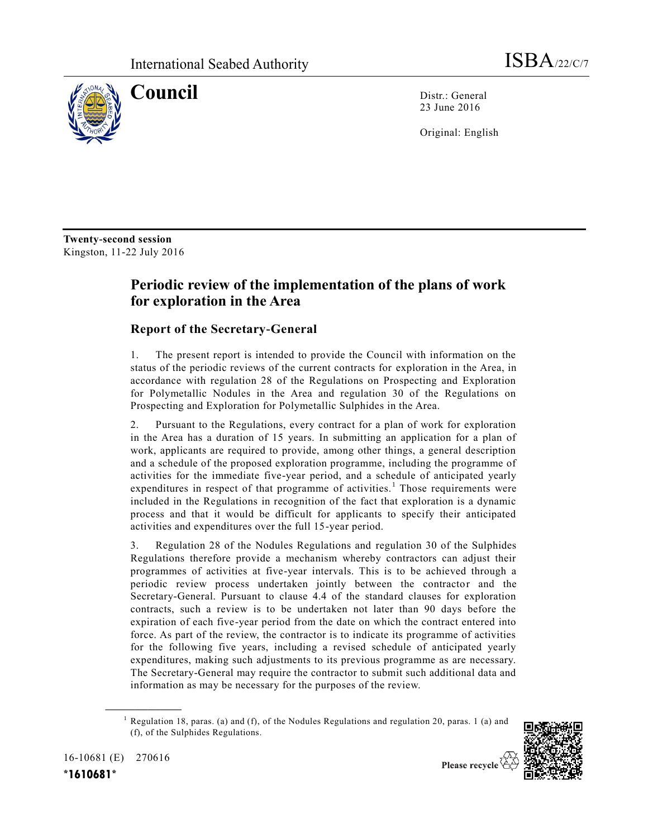

**Council** Distr.: General 23 June 2016

Original: English

**Twenty-second session** Kingston, 11-22 July 2016

## **Periodic review of the implementation of the plans of work for exploration in the Area**

## **Report of the Secretary-General**

1. The present report is intended to provide the Council with information on the status of the periodic reviews of the current contracts for exploration in the Area, in accordance with regulation 28 of the Regulations on Prospecting and Exploration for Polymetallic Nodules in the Area and regulation 30 of the Regulations on Prospecting and Exploration for Polymetallic Sulphides in the Area.

2. Pursuant to the Regulations, every contract for a plan of work for exploration in the Area has a duration of 15 years. In submitting an application for a plan of work, applicants are required to provide, among other things, a general description and a schedule of the proposed exploration programme, including the programme of activities for the immediate five-year period, and a schedule of anticipated yearly expenditures in respect of that programme of activities.<sup>1</sup> Those requirements were included in the Regulations in recognition of the fact that exploration is a dynamic process and that it would be difficult for applicants to specify their anticipated activities and expenditures over the full 15-year period.

3. Regulation 28 of the Nodules Regulations and regulation 30 of the Sulphides Regulations therefore provide a mechanism whereby contractors can adjust their programmes of activities at five-year intervals. This is to be achieved through a periodic review process undertaken jointly between the contractor and the Secretary-General. Pursuant to clause 4.4 of the standard clauses for exploration contracts, such a review is to be undertaken not later than 90 days before the expiration of each five-year period from the date on which the contract entered into force. As part of the review, the contractor is to indicate its programme of activities for the following five years, including a revised schedule of anticipated yearly expenditures, making such adjustments to its previous programme as are necessary. The Secretary-General may require the contractor to submit such additional data and information as may be necessary for the purposes of the review.

<sup>&</sup>lt;sup>1</sup> Regulation 18, paras. (a) and (f), of the Nodules Regulations and regulation 20, paras. 1 (a) and (f), of the Sulphides Regulations.



16-10681 (E) 270616

**\_\_\_\_\_\_\_\_\_\_\_\_\_\_\_\_\_\_**